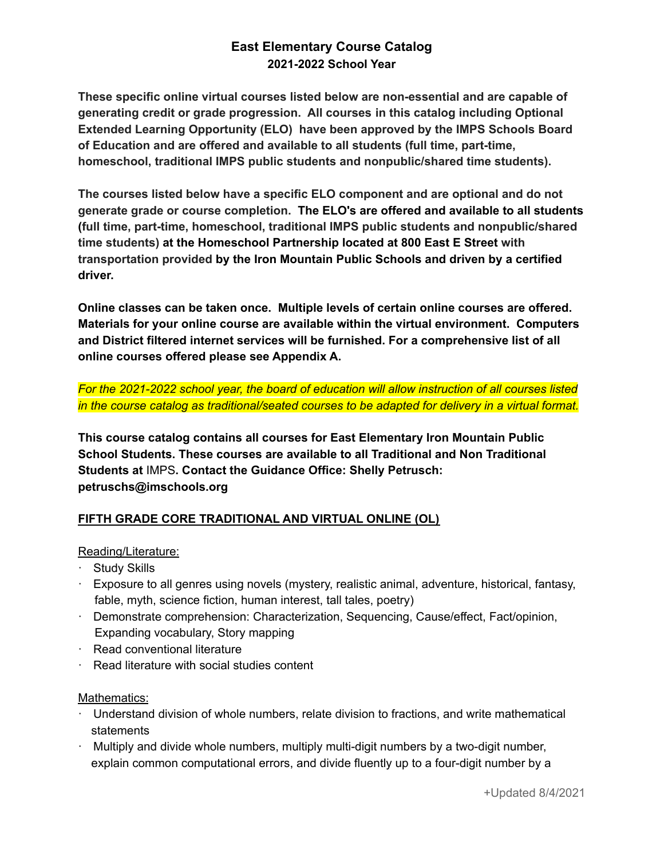# **East Elementary Course Catalog 2021-2022 School Year**

**These specific online virtual courses listed below are non-essential and are capable of generating credit or grade progression. All courses in this catalog including Optional Extended Learning Opportunity (ELO) have been approved by the IMPS Schools Board of Education and are offered and available to all students (full time, part-time, homeschool, traditional IMPS public students and nonpublic/shared time students).**

**The courses listed below have a specific ELO component and are optional and do not generate grade or course completion. The ELO's are offered and available to all students (full time, part-time, homeschool, traditional IMPS public students and nonpublic/shared time students) at the Homeschool Partnership located at 800 East E Street with transportation provided by the Iron Mountain Public Schools and driven by a certified driver.**

**Online classes can be taken once. Multiple levels of certain online courses are offered. Materials for your online course are available within the virtual environment. Computers and District filtered internet services will be furnished. For a comprehensive list of all online courses offered please see Appendix A.**

*For the 2021-2022 school year, the board of education will allow instruction of all courses listed in the course catalog as traditional/seated courses to be adapted for delivery in a virtual format.*

**This course catalog contains all courses for East Elementary Iron Mountain Public School Students. These courses are available to all Traditional and Non Traditional Students at** IMPS**. Contact the Guidance Office: Shelly Petrusch: petruschs@imschools.org**

# **FIFTH GRADE CORE TRADITIONAL AND VIRTUAL ONLINE (OL)**

# Reading/Literature:

- · Study Skills
- · Exposure to all genres using novels (mystery, realistic animal, adventure, historical, fantasy, fable, myth, science fiction, human interest, tall tales, poetry)
- · Demonstrate comprehension: Characterization, Sequencing, Cause/effect, Fact/opinion, Expanding vocabulary, Story mapping
- · Read conventional literature
- · Read literature with social studies content

# Mathematics:

- · Understand division of whole numbers, relate division to fractions, and write mathematical statements
- $\cdot$  Multiply and divide whole numbers, multiply multi-digit numbers by a two-digit number, explain common computational errors, and divide fluently up to a four-digit number by a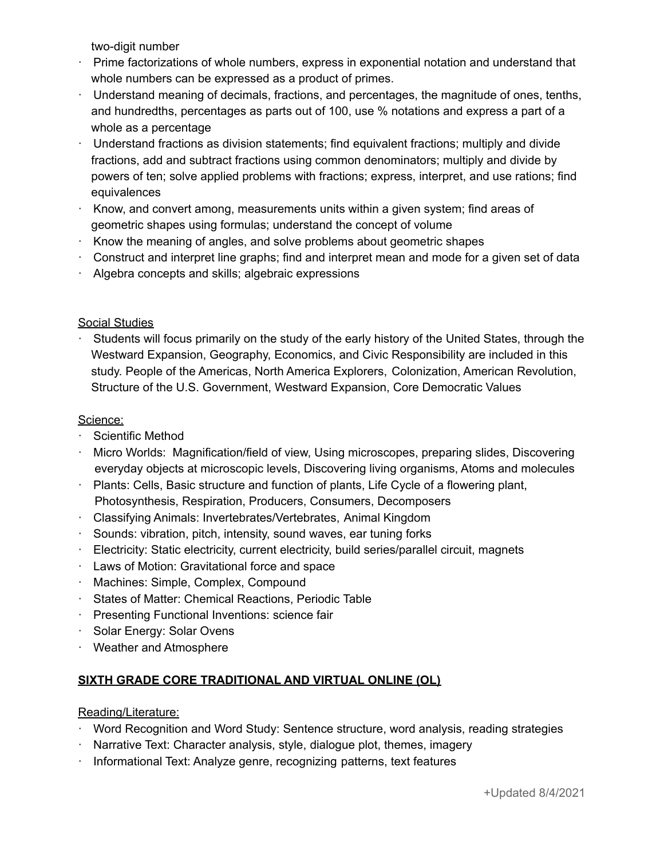two-digit number

- · Prime factorizations of whole numbers, express in exponential notation and understand that whole numbers can be expressed as a product of primes.
- · Understand meaning of decimals, fractions, and percentages, the magnitude of ones, tenths, and hundredths, percentages as parts out of 100, use % notations and express a part of a whole as a percentage
- · Understand fractions as division statements; find equivalent fractions; multiply and divide fractions, add and subtract fractions using common denominators; multiply and divide by powers of ten; solve applied problems with fractions; express, interpret, and use rations; find equivalences
- $\cdot$  Know, and convert among, measurements units within a given system; find areas of geometric shapes using formulas; understand the concept of volume
- · Know the meaning of angles, and solve problems about geometric shapes
- · Construct and interpret line graphs; find and interpret mean and mode for a given set of data
- · Algebra concepts and skills; algebraic expressions

# Social Studies

· Students will focus primarily on the study of the early history of the United States, through the Westward Expansion, Geography, Economics, and Civic Responsibility are included in this study. People of the Americas, North America Explorers, Colonization, American Revolution, Structure of the U.S. Government, Westward Expansion, Core Democratic Values

# Science:

- · Scientific Method
- · Micro Worlds: Magnification/field of view, Using microscopes, preparing slides, Discovering everyday objects at microscopic levels, Discovering living organisms, Atoms and molecules
- · Plants: Cells, Basic structure and function of plants, Life Cycle of a flowering plant, Photosynthesis, Respiration, Producers, Consumers, Decomposers
- · Classifying Animals: Invertebrates/Vertebrates, Animal Kingdom
- · Sounds: vibration, pitch, intensity, sound waves, ear tuning forks
- · Electricity: Static electricity, current electricity, build series/parallel circuit, magnets
- · Laws of Motion: Gravitational force and space
- · Machines: Simple, Complex, Compound
- · States of Matter: Chemical Reactions, Periodic Table
- · Presenting Functional Inventions: science fair
- · Solar Energy: Solar Ovens
- · Weather and Atmosphere

# **SIXTH GRADE CORE TRADITIONAL AND VIRTUAL ONLINE (OL)**

# Reading/Literature:

- · Word Recognition and Word Study: Sentence structure, word analysis, reading strategies
- · Narrative Text: Character analysis, style, dialogue plot, themes, imagery
- Informational Text: Analyze genre, recognizing patterns, text features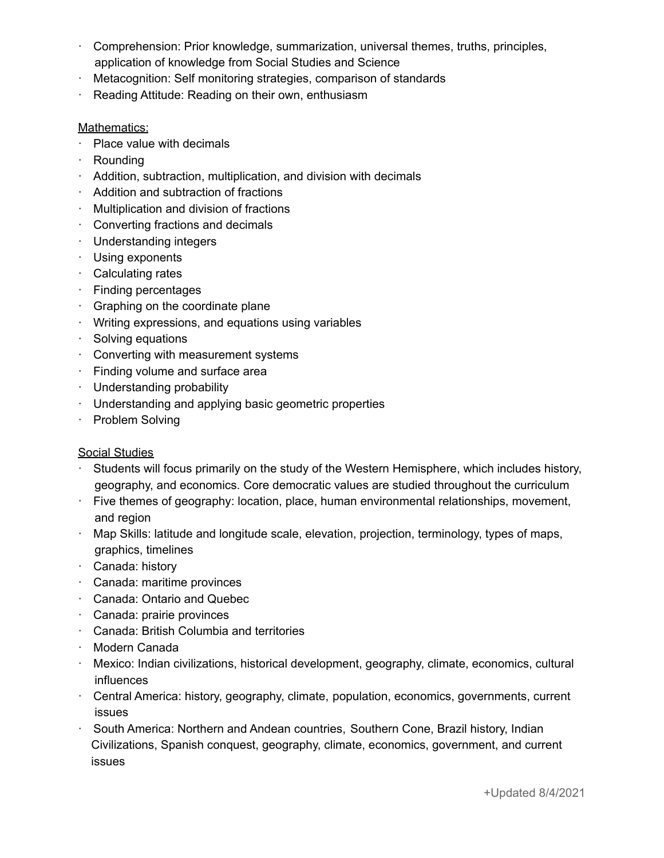- · Comprehension: Prior knowledge, summarization, universal themes, truths, principles, application of knowledge from Social Studies and Science
- · Metacognition: Self monitoring strategies, comparison of standards
- Reading Attitude: Reading on their own, enthusiasm

# Mathematics:

- · Place value with decimals
- · Rounding
- $\cdot$  Addition, subtraction, multiplication, and division with decimals
- · Addition and subtraction of fractions
- · Multiplication and division of fractions
- · Converting fractions and decimals
- · Understanding integers
- · Using exponents
- · Calculating rates
- · Finding percentages
- · Graphing on the coordinate plane
- · Writing expressions, and equations using variables
- · Solving equations
- · Converting with measurement systems
- · Finding volume and surface area
- · Understanding probability
- · Understanding and applying basic geometric properties
- · Problem Solving

# Social Studies

- Students will focus primarily on the study of the Western Hemisphere, which includes history, geography, and economics. Core democratic values are studied throughout the curriculum
- · Five themes of geography: location, place, human environmental relationships, movement, and region
- · Map Skills: latitude and longitude scale, elevation, projection, terminology, types of maps, graphics, timelines
- · Canada: history
- · Canada: maritime provinces
- · Canada: Ontario and Quebec
- · Canada: prairie provinces
- · Canada: British Columbia and territories
- · Modern Canada
- · Mexico: Indian civilizations, historical development, geography, climate, economics, cultural influences
- · Central America: history, geography, climate, population, economics, governments, current issues
- · South America: Northern and Andean countries, Southern Cone, Brazil history, Indian Civilizations, Spanish conquest, geography, climate, economics, government, and current issues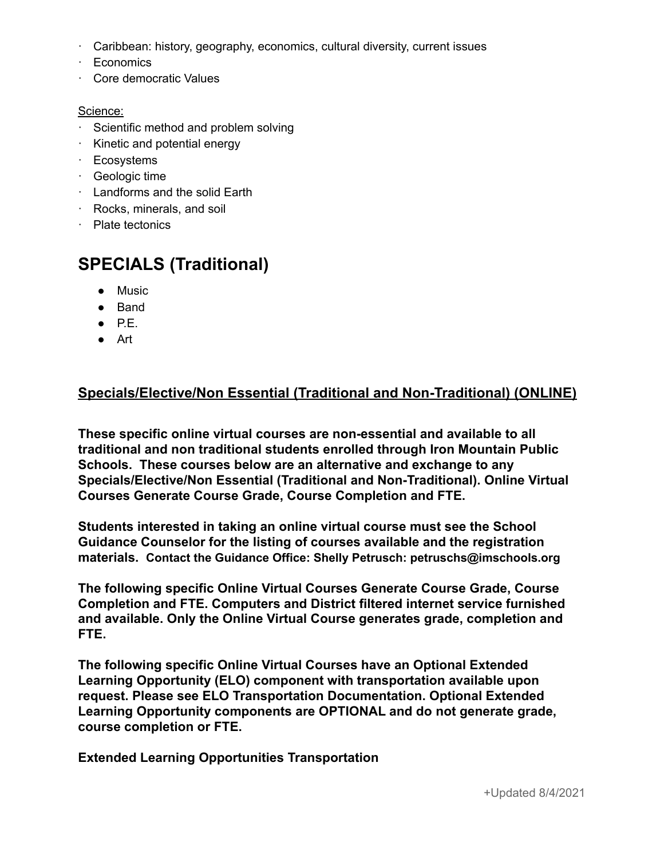- · Caribbean: history, geography, economics, cultural diversity, current issues
- · Economics
- · Core democratic Values

# Science:

- · Scientific method and problem solving
- · Kinetic and potential energy
- · Ecosystems
- · Geologic time
- · Landforms and the solid Earth
- · Rocks, minerals, and soil
- · Plate tectonics

# **SPECIALS (Traditional)**

- Music
- Band
- $\bullet$  P.E.
- Art

# **Specials/Elective/Non Essential (Traditional and Non-Traditional) (ONLINE)**

**These specific online virtual courses are non-essential and available to all traditional and non traditional students enrolled through Iron Mountain Public Schools. These courses below are an alternative and exchange to any Specials/Elective/Non Essential (Traditional and Non-Traditional). Online Virtual Courses Generate Course Grade, Course Completion and FTE.**

**Students interested in taking an online virtual course must see the School Guidance Counselor for the listing of courses available and the registration materials. Contact the Guidance Office: Shelly Petrusch: petruschs@imschools.org**

**The following specific Online Virtual Courses Generate Course Grade, Course Completion and FTE. Computers and District filtered internet service furnished and available. Only the Online Virtual Course generates grade, completion and FTE.**

**The following specific Online Virtual Courses have an Optional Extended Learning Opportunity (ELO) component with transportation available upon request. Please see ELO Transportation Documentation. Optional Extended Learning Opportunity components are OPTIONAL and do not generate grade, course completion or FTE.**

**Extended Learning Opportunities Transportation**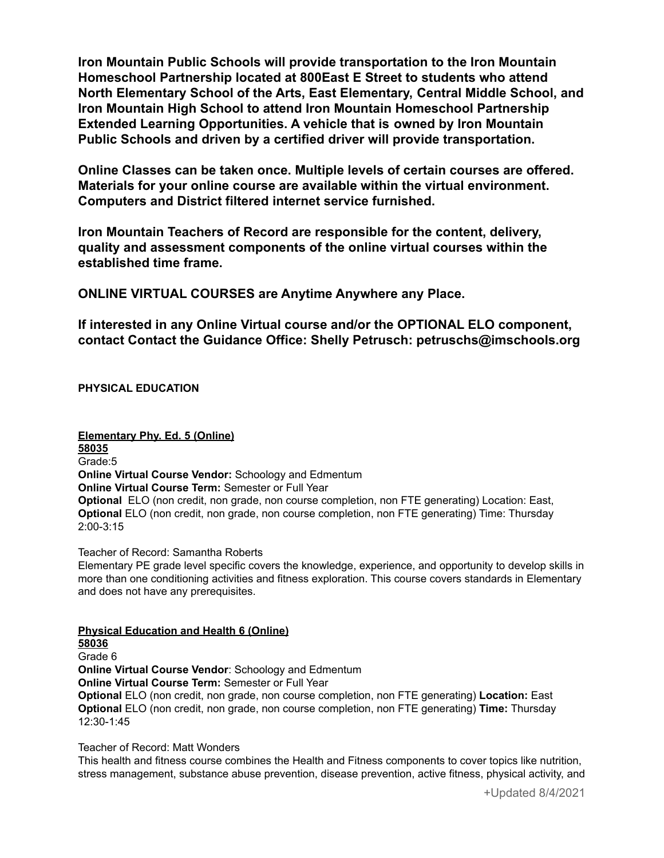**Iron Mountain Public Schools will provide transportation to the Iron Mountain Homeschool Partnership located at 800East E Street to students who attend North Elementary School of the Arts, East Elementary, Central Middle School, and Iron Mountain High School to attend Iron Mountain Homeschool Partnership Extended Learning Opportunities. A vehicle that is owned by Iron Mountain Public Schools and driven by a certified driver will provide transportation.**

**Online Classes can be taken once. Multiple levels of certain courses are offered. Materials for your online course are available within the virtual environment. Computers and District filtered internet service furnished.**

**Iron Mountain Teachers of Record are responsible for the content, delivery, quality and assessment components of the online virtual courses within the established time frame.**

**ONLINE VIRTUAL COURSES are Anytime Anywhere any Place.**

**If interested in any Online Virtual course and/or the OPTIONAL ELO component, contact Contact the Guidance Office: Shelly Petrusch: petruschs@imschools.org**

**PHYSICAL EDUCATION**

**Elementary Phy. Ed. 5 (Online) 58035** Grade:5 **Online Virtual Course Vendor:** Schoology and Edmentum **Online Virtual Course Term:** Semester or Full Year **Optional** ELO (non credit, non grade, non course completion, non FTE generating) Location: East, **Optional** ELO (non credit, non grade, non course completion, non FTE generating) Time: Thursday 2:00-3:15

Teacher of Record: Samantha Roberts

Elementary PE grade level specific covers the knowledge, experience, and opportunity to develop skills in more than one conditioning activities and fitness exploration. This course covers standards in Elementary and does not have any prerequisites.

**Physical Education and Health 6 (Online) 58036** Grade 6 **Online Virtual Course Vendor**: Schoology and Edmentum **Online Virtual Course Term:** Semester or Full Year **Optional** ELO (non credit, non grade, non course completion, non FTE generating) **Location:** East **Optional** ELO (non credit, non grade, non course completion, non FTE generating) **Time:** Thursday 12:30-1:45

Teacher of Record: Matt Wonders

This health and fitness course combines the Health and Fitness components to cover topics like nutrition, stress management, substance abuse prevention, disease prevention, active fitness, physical activity, and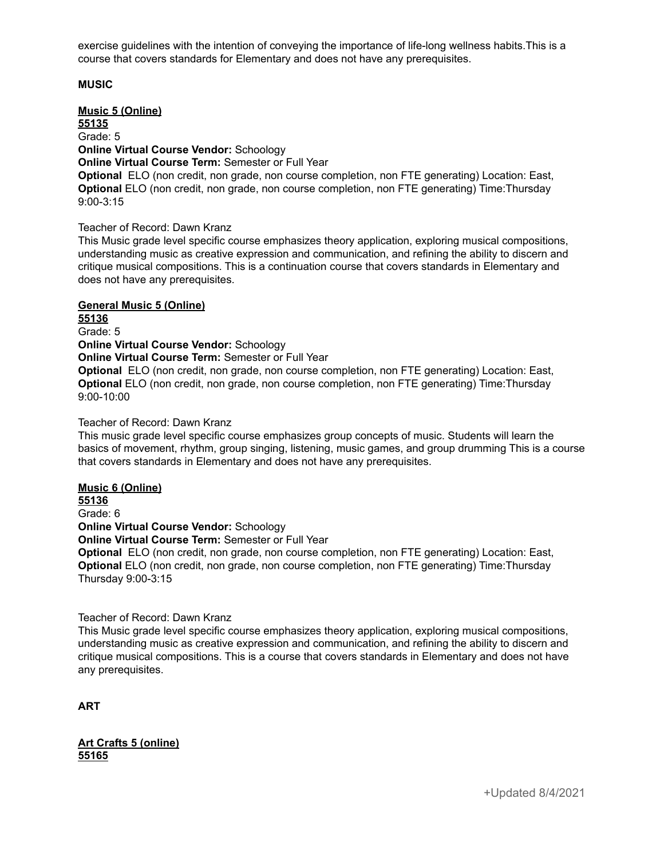exercise guidelines with the intention of conveying the importance of life-long wellness habits.This is a course that covers standards for Elementary and does not have any prerequisites.

#### **MUSIC**

**Music 5 (Online) 55135** Grade: 5 **Online Virtual Course Vendor:** Schoology **Online Virtual Course Term:** Semester or Full Year **Optional** ELO (non credit, non grade, non course completion, non FTE generating) Location: East, **Optional** ELO (non credit, non grade, non course completion, non FTE generating) Time:Thursday 9:00-3:15

#### Teacher of Record: Dawn Kranz

This Music grade level specific course emphasizes theory application, exploring musical compositions, understanding music as creative expression and communication, and refining the ability to discern and critique musical compositions. This is a continuation course that covers standards in Elementary and does not have any prerequisites.

#### **General Music 5 (Online)**

**55136** Grade: 5

**Online Virtual Course Vendor:** Schoology

**Online Virtual Course Term:** Semester or Full Year

**Optional** ELO (non credit, non grade, non course completion, non FTE generating) Location: East, **Optional** ELO (non credit, non grade, non course completion, non FTE generating) Time:Thursday 9:00-10:00

#### Teacher of Record: Dawn Kranz

This music grade level specific course emphasizes group concepts of music. Students will learn the basics of movement, rhythm, group singing, listening, music games, and group drumming This is a course that covers standards in Elementary and does not have any prerequisites.

#### **Music 6 (Online)**

**55136** Grade: 6 **Online Virtual Course Vendor:** Schoology **Online Virtual Course Term:** Semester or Full Year **Optional** ELO (non credit, non grade, non course completion, non FTE generating) Location: East, **Optional** ELO (non credit, non grade, non course completion, non FTE generating) Time:Thursday Thursday 9:00-3:15

#### Teacher of Record: Dawn Kranz

This Music grade level specific course emphasizes theory application, exploring musical compositions, understanding music as creative expression and communication, and refining the ability to discern and critique musical compositions. This is a course that covers standards in Elementary and does not have any prerequisites.

**ART**

**Art Crafts 5 (online) 55165**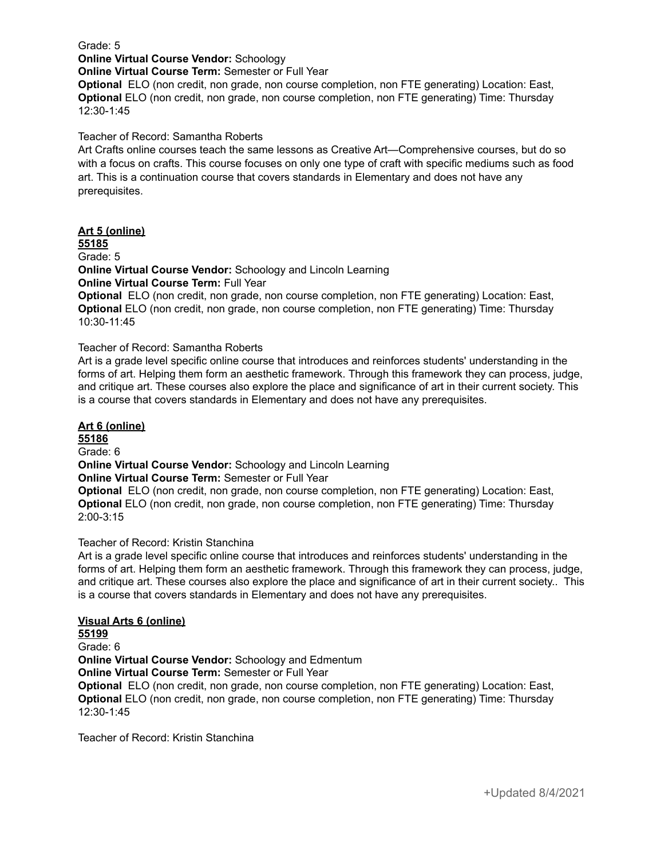Grade: 5

**Online Virtual Course Vendor:** Schoology

**Online Virtual Course Term:** Semester or Full Year

**Optional** ELO (non credit, non grade, non course completion, non FTE generating) Location: East, **Optional** ELO (non credit, non grade, non course completion, non FTE generating) Time: Thursday 12:30-1:45

Teacher of Record: Samantha Roberts

Art Crafts online courses teach the same lessons as Creative Art—Comprehensive courses, but do so with a focus on crafts. This course focuses on only one type of craft with specific mediums such as food art. This is a continuation course that covers standards in Elementary and does not have any prerequisites.

# **Art 5 (online)**

**55185** Grade: 5

**Online Virtual Course Vendor:** Schoology and Lincoln Learning

**Online Virtual Course Term:** Full Year

**Optional** ELO (non credit, non grade, non course completion, non FTE generating) Location: East, **Optional** ELO (non credit, non grade, non course completion, non FTE generating) Time: Thursday 10:30-11:45

#### Teacher of Record: Samantha Roberts

Art is a grade level specific online course that introduces and reinforces students' understanding in the forms of art. Helping them form an aesthetic framework. Through this framework they can process, judge, and critique art. These courses also explore the place and significance of art in their current society. This is a course that covers standards in Elementary and does not have any prerequisites.

#### **Art 6 (online)**

**55186**

Grade: 6

**Online Virtual Course Vendor:** Schoology and Lincoln Learning

**Online Virtual Course Term:** Semester or Full Year

**Optional** ELO (non credit, non grade, non course completion, non FTE generating) Location: East, **Optional** ELO (non credit, non grade, non course completion, non FTE generating) Time: Thursday 2:00-3:15

#### Teacher of Record: Kristin Stanchina

Art is a grade level specific online course that introduces and reinforces students' understanding in the forms of art. Helping them form an aesthetic framework. Through this framework they can process, judge, and critique art. These courses also explore the place and significance of art in their current society.. This is a course that covers standards in Elementary and does not have any prerequisites.

# **Visual Arts 6 (online)**

**55199**

Grade: 6

**Online Virtual Course Vendor:** Schoology and Edmentum

**Online Virtual Course Term:** Semester or Full Year

**Optional** ELO (non credit, non grade, non course completion, non FTE generating) Location: East, **Optional** ELO (non credit, non grade, non course completion, non FTE generating) Time: Thursday 12:30-1:45

Teacher of Record: Kristin Stanchina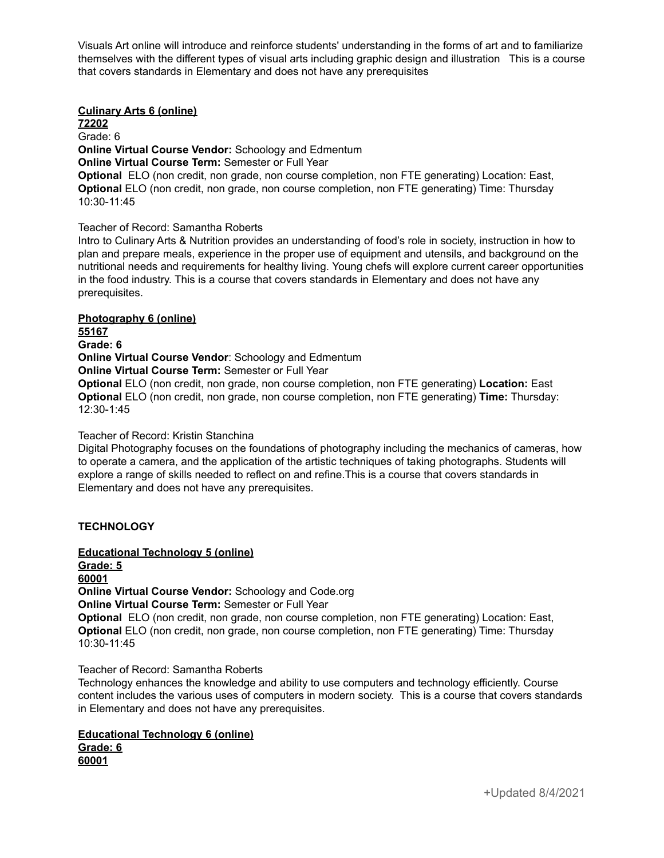Visuals Art online will introduce and reinforce students' understanding in the forms of art and to familiarize themselves with the different types of visual arts including graphic design and illustration This is a course that covers standards in Elementary and does not have any prerequisites

### **Culinary Arts 6 (online)**

**72202** Grade: 6 **Online Virtual Course Vendor:** Schoology and Edmentum **Online Virtual Course Term:** Semester or Full Year **Optional** ELO (non credit, non grade, non course completion, non FTE generating) Location: East, **Optional** ELO (non credit, non grade, non course completion, non FTE generating) Time: Thursday 10:30-11:45

#### Teacher of Record: Samantha Roberts

Intro to Culinary Arts & Nutrition provides an understanding of food's role in society, instruction in how to plan and prepare meals, experience in the proper use of equipment and utensils, and background on the nutritional needs and requirements for healthy living. Young chefs will explore current career opportunities in the food industry. This is a course that covers standards in Elementary and does not have any prerequisites.

#### **Photography 6 (online)**

**55167**

**Grade: 6 Online Virtual Course Vendor**: Schoology and Edmentum

**Online Virtual Course Term:** Semester or Full Year

**Optional** ELO (non credit, non grade, non course completion, non FTE generating) **Location:** East **Optional** ELO (non credit, non grade, non course completion, non FTE generating) **Time:** Thursday: 12:30-1:45

#### Teacher of Record: Kristin Stanchina

Digital Photography focuses on the foundations of photography including the mechanics of cameras, how to operate a camera, and the application of the artistic techniques of taking photographs. Students will explore a range of skills needed to reflect on and refine.This is a course that covers standards in Elementary and does not have any prerequisites.

#### **TECHNOLOGY**

**Educational Technology 5 (online) Grade: 5 60001 Online Virtual Course Vendor:** Schoology and Code.org **Online Virtual Course Term:** Semester or Full Year **Optional** ELO (non credit, non grade, non course completion, non FTE generating) Location: East, **Optional** ELO (non credit, non grade, non course completion, non FTE generating) Time: Thursday 10:30-11:45

#### Teacher of Record: Samantha Roberts

Technology enhances the knowledge and ability to use computers and technology efficiently. Course content includes the various uses of computers in modern society. This is a course that covers standards in Elementary and does not have any prerequisites.

#### **Educational Technology 6 (online) Grade: 6 60001**